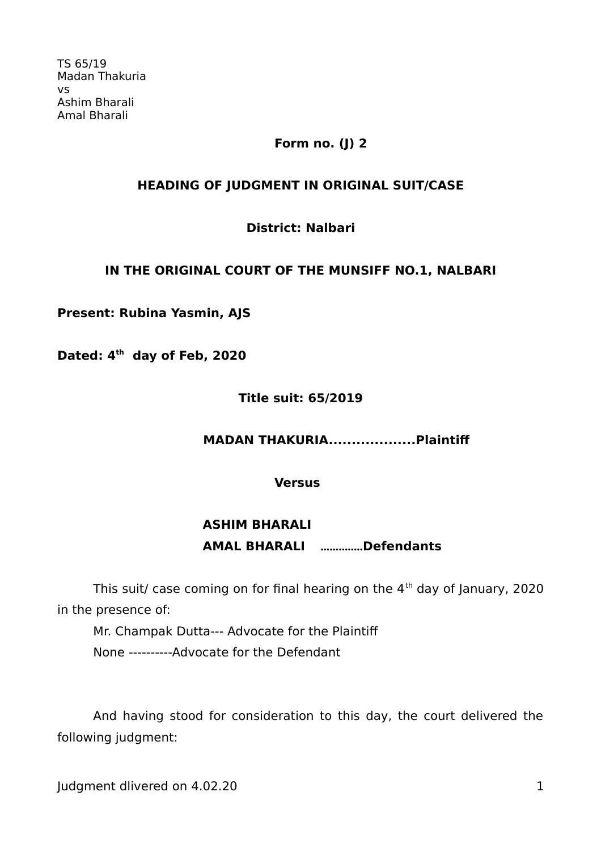# **Form no. (J) 2**

# **HEADING OF JUDGMENT IN ORIGINAL SUIT/CASE**

### **District: Nalbari**

### **IN THE ORIGINAL COURT OF THE MUNSIFF NO.1, NALBARI**

### **Present: Rubina Yasmin, AJS**

**Dated: 4th day of Feb, 2020** 

### **Title suit: 65/2019**

# **MADAN THAKURIA...................Plaintif**

**Versus**

# **ASHIM BHARALI AMAL BHARALI ..............Defendants**

This suit/ case coming on for final hearing on the  $4<sup>th</sup>$  day of January, 2020 in the presence of:

Mr. Champak Dutta--- Advocate for the Plaintif None ----------Advocate for the Defendant

And having stood for consideration to this day, the court delivered the following judgment:

Judgment dlivered on 4.02.20 1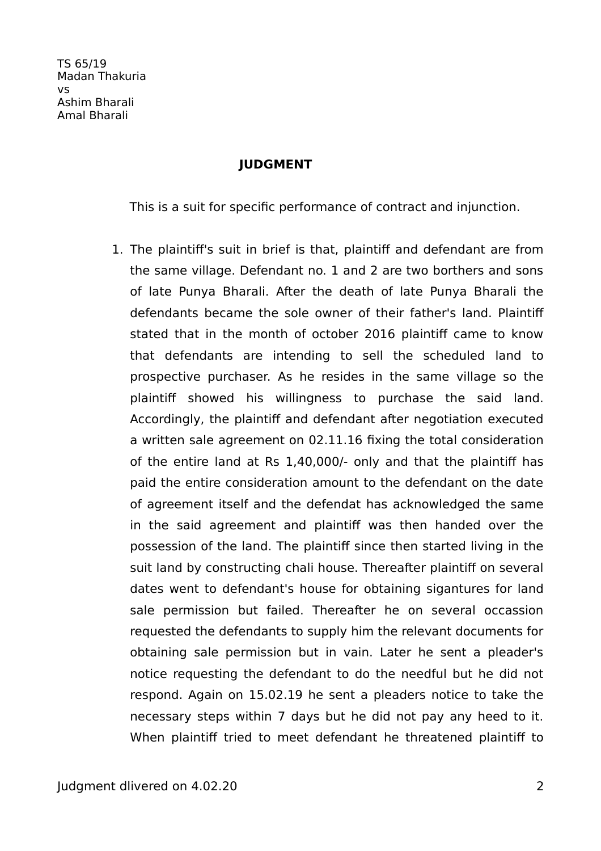### **JUDGMENT**

This is a suit for specific performance of contract and injunction.

1. The plaintif's suit in brief is that, plaintif and defendant are from the same village. Defendant no. 1 and 2 are two borthers and sons of late Punya Bharali. After the death of late Punya Bharali the defendants became the sole owner of their father's land. Plaintif stated that in the month of october 2016 plaintiff came to know that defendants are intending to sell the scheduled land to prospective purchaser. As he resides in the same village so the plaintif showed his willingness to purchase the said land. Accordingly, the plaintif and defendant after negotiation executed a written sale agreement on 02.11.16 fixing the total consideration of the entire land at Rs 1,40,000/- only and that the plaintif has paid the entire consideration amount to the defendant on the date of agreement itself and the defendat has acknowledged the same in the said agreement and plaintif was then handed over the possession of the land. The plaintif since then started living in the suit land by constructing chali house. Thereafter plaintif on several dates went to defendant's house for obtaining sigantures for land sale permission but failed. Thereafter he on several occassion requested the defendants to supply him the relevant documents for obtaining sale permission but in vain. Later he sent a pleader's notice requesting the defendant to do the needful but he did not respond. Again on 15.02.19 he sent a pleaders notice to take the necessary steps within 7 days but he did not pay any heed to it. When plaintiff tried to meet defendant he threatened plaintiff to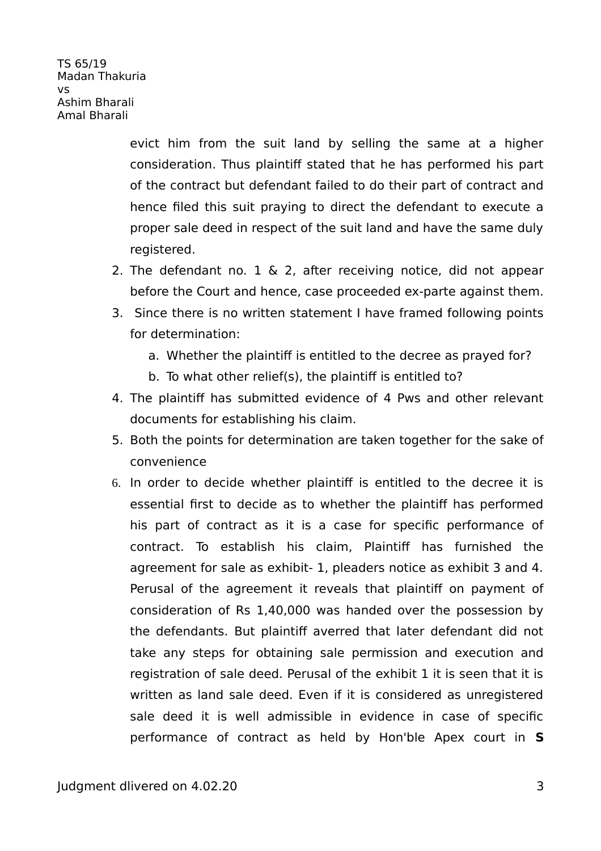> evict him from the suit land by selling the same at a higher consideration. Thus plaintif stated that he has performed his part of the contract but defendant failed to do their part of contract and hence filed this suit praying to direct the defendant to execute a proper sale deed in respect of the suit land and have the same duly registered.

- 2. The defendant no. 1 & 2, after receiving notice, did not appear before the Court and hence, case proceeded ex-parte against them.
- 3. Since there is no written statement I have framed following points for determination:
	- a. Whether the plaintiff is entitled to the decree as prayed for?
	- b. To what other relief(s), the plaintif is entitled to?
- 4. The plaintif has submitted evidence of 4 Pws and other relevant documents for establishing his claim.
- 5. Both the points for determination are taken together for the sake of convenience
- 6. In order to decide whether plaintif is entitled to the decree it is essential first to decide as to whether the plaintif has performed his part of contract as it is a case for specific performance of contract. To establish his claim, Plaintif has furnished the agreement for sale as exhibit- 1, pleaders notice as exhibit 3 and 4. Perusal of the agreement it reveals that plaintiff on payment of consideration of Rs 1,40,000 was handed over the possession by the defendants. But plaintif averred that later defendant did not take any steps for obtaining sale permission and execution and registration of sale deed. Perusal of the exhibit 1 it is seen that it is written as land sale deed. Even if it is considered as unregistered sale deed it is well admissible in evidence in case of specific performance of contract as held by Hon'ble Apex court in **S**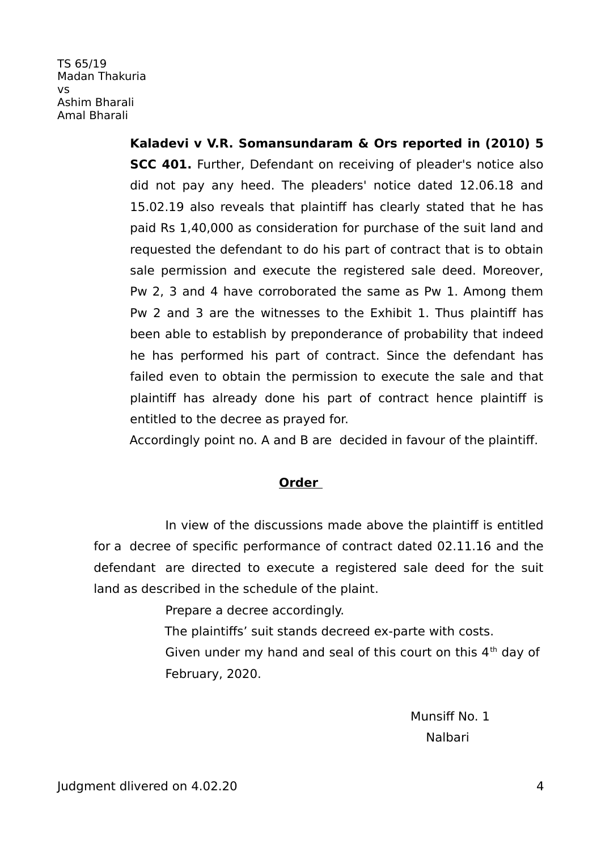> **Kaladevi v V.R. Somansundaram & Ors reported in (2010) 5 SCC 401.** Further, Defendant on receiving of pleader's notice also did not pay any heed. The pleaders' notice dated 12.06.18 and 15.02.19 also reveals that plaintif has clearly stated that he has paid Rs 1,40,000 as consideration for purchase of the suit land and requested the defendant to do his part of contract that is to obtain sale permission and execute the registered sale deed. Moreover, Pw 2, 3 and 4 have corroborated the same as Pw 1. Among them Pw 2 and 3 are the witnesses to the Exhibit 1. Thus plaintif has been able to establish by preponderance of probability that indeed he has performed his part of contract. Since the defendant has failed even to obtain the permission to execute the sale and that plaintif has already done his part of contract hence plaintif is entitled to the decree as prayed for.

Accordingly point no. A and B are decided in favour of the plaintif.

### **Order**

In view of the discussions made above the plaintif is entitled for a decree of specific performance of contract dated 02.11.16 and the defendant are directed to execute a registered sale deed for the suit land as described in the schedule of the plaint.

Prepare a decree accordingly.

The plaintifs' suit stands decreed ex-parte with costs.

Given under my hand and seal of this court on this  $4<sup>th</sup>$  day of February, 2020.

Munsiff No. 1 Nalbari